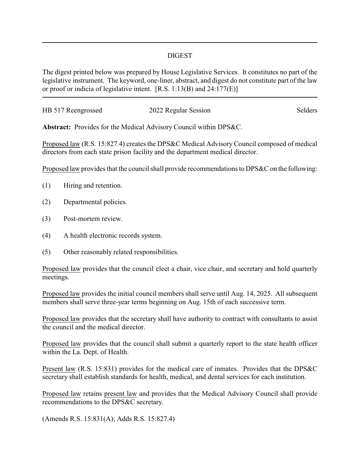## DIGEST

The digest printed below was prepared by House Legislative Services. It constitutes no part of the legislative instrument. The keyword, one-liner, abstract, and digest do not constitute part of the law or proof or indicia of legislative intent. [R.S. 1:13(B) and 24:177(E)]

| HB 517 Reengrossed | 2022 Regular Session | Selders |
|--------------------|----------------------|---------|
|                    |                      |         |

**Abstract:** Provides for the Medical Advisory Council within DPS&C.

Proposed law (R.S. 15:827.4) creates the DPS&C Medical Advisory Council composed of medical directors from each state prison facility and the department medical director.

Proposed law provides that the council shall provide recommendations to DPS&C on the following:

- (1) Hiring and retention.
- (2) Departmental policies.
- (3) Post-mortem review.
- (4) A health electronic records system.
- (5) Other reasonably related responsibilities.

Proposed law provides that the council elect a chair, vice chair, and secretary and hold quarterly meetings.

Proposed law provides the initial council members shall serve until Aug. 14, 2025. All subsequent members shall serve three-year terms beginning on Aug. 15th of each successive term.

Proposed law provides that the secretary shall have authority to contract with consultants to assist the council and the medical director.

Proposed law provides that the council shall submit a quarterly report to the state health officer within the La. Dept. of Health.

Present law (R.S. 15:831) provides for the medical care of inmates. Provides that the DPS&C secretary shall establish standards for health, medical, and dental services for each institution.

Proposed law retains present law and provides that the Medical Advisory Council shall provide recommendations to the DPS&C secretary.

(Amends R.S. 15:831(A); Adds R.S. 15:827.4)